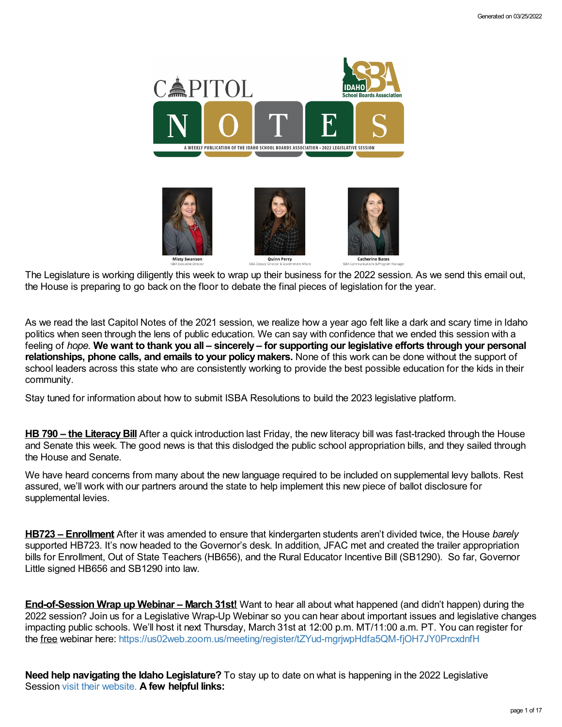

The Legislature is working diligently this week to wrap up their business for the 2022 session. As we send this email out, the House is preparing to go back on the floor to debate the final pieces of legislation for the year.

As we read the last Capitol Notes of the 2021 session, we realize how a year ago felt like a dark and scary time in Idaho politics when seen through the lens of public education. We can say with confidence that we ended this session with a feeling of hope. We want to thank you all – sincerely – for supporting our legislative efforts through your personal **relationships, phone calls, and emails to your policy makers.** None of this work can be done without the support of school leaders across this state who are consistently working to provide the best possible education for the kids in their community.

Stay tuned for information about how to submit ISBA Resolutions to build the 2023 legislative platform.

**HB 790 – the LiteracyBill** After a quick introduction last Friday, the new literacy bill was fast-tracked through the House and Senate this week. The good news is that this dislodged the public school appropriation bills, and they sailed through the House and Senate.

We have heard concerns from many about the new language required to be included on supplemental levy ballots. Rest assured, we'll work with our partners around the state to help implement this new piece of ballot disclosure for supplemental levies.

**HB723 – Enrollment** After it was amended to ensure that kindergarten students aren't divided twice, the House *barely* supported HB723. It's now headed to the Governor's desk. In addition, JFAC met and created the trailer appropriation bills for Enrollment, Out of State Teachers (HB656), and the Rural Educator Incentive Bill (SB1290). So far, Governor Little signed HB656 and SB1290 into law.

**End-of-Session Wrap up Webinar – March 31st!** Want to hear all about what happened (and didn't happen) during the 2022 session? Join us for a Legislative Wrap-Up Webinar so you can hear about important issues and legislative changes impacting public schools. We'll host it next Thursday, March 31st at 12:00 p.m. MT/11:00 a.m. PT. You can register for the free webinar here: <https://us02web.zoom.us/meeting/register/tZYud-mgrjwpHdfa5QM-fjOH7JY0PrcxdnfH>

**Need help navigating the Idaho Legislature?** To stay up to date on what is happening in the 2022 Legislative Session visit their [website.](https://legislature.idaho.gov/legislators/whosmylegislator/) **A few helpful links:**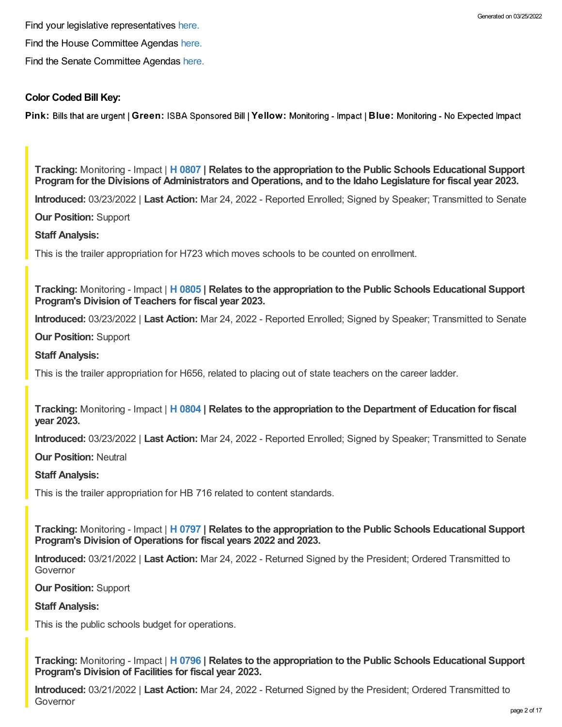Find your legislative representatives [here.](https://legislature.idaho.gov/legislators/whosmylegislator/)

Find the House Committee Agendas [here.](https://legislature.idaho.gov/sessioninfo/agenda/hagenda/)

Find the Senate Committee Agendas [here.](https://legislature.idaho.gov/sessioninfo/agenda/sagenda/)

## **Color Coded Bill Key:**

**Pink: Bills that are urgent | Green: ISBA Sponsored Bill | Yellow: Monitoring - Impact | Blue: Monitoring - No Expected Impact** 

**Tracking:** Monitoring - Impact | **H [0807](https://legislature.idaho.gov/sessioninfo/2022/legislation/H0807/) | Relates to the appropriation to the Public Schools Educational Support** Program for the Divisions of Administrators and Operations, and to the Idaho Legislature for fiscal year 2023.

**Introduced:** 03/23/2022 | **Last Action:** Mar 24, 2022 - Reported Enrolled; Signed by Speaker; Transmitted to Senate

**Our Position:** Support

**Staff Analysis:**

This is the trailer appropriation for H723 which moves schools to be counted on enrollment.

**Tracking:** Monitoring - Impact | **H [0805](https://legislature.idaho.gov/sessioninfo/2022/legislation/H0805/) | Relates to the appropriation to the Public Schools Educational Support Program's Division of Teachers for fiscal year 2023.**

**Introduced:** 03/23/2022 | **Last Action:** Mar 24, 2022 - Reported Enrolled; Signed by Speaker; Transmitted to Senate

**Our Position:** Support

**Staff Analysis:**

This is the trailer appropriation for H656, related to placing out of state teachers on the career ladder.

**Tracking:** Monitoring - Impact | **H [0804](https://legislature.idaho.gov/sessioninfo/2022/legislation/H0804/) | Relates to the appropriation to the Department of Education for fiscal year 2023.**

**Introduced:** 03/23/2022 | **Last Action:** Mar 24, 2022 - Reported Enrolled; Signed by Speaker; Transmitted to Senate

**Our Position:** Neutral

**Staff Analysis:**

This is the trailer appropriation for HB 716 related to content standards.

**Tracking:** Monitoring - Impact | **H [0797](https://legislature.idaho.gov/sessioninfo/2022/legislation/H0797/) | Relates to the appropriation to the Public Schools Educational Support Program's Division of Operations for fiscal years 2022 and 2023.**

**Introduced:** 03/21/2022 | **Last Action:** Mar 24, 2022 - Returned Signed by the President; Ordered Transmitted to Governor

**Our Position:** Support

## **Staff Analysis:**

This is the public schools budget for operations.

**Tracking:** Monitoring - Impact | **H [0796](https://legislature.idaho.gov/sessioninfo/2022/legislation/H0796/) | Relates to the appropriation to the Public Schools Educational Support Program's Division of Facilities for fiscal year 2023.**

**Introduced:** 03/21/2022 | **Last Action:** Mar 24, 2022 - Returned Signed by the President; Ordered Transmitted to Governor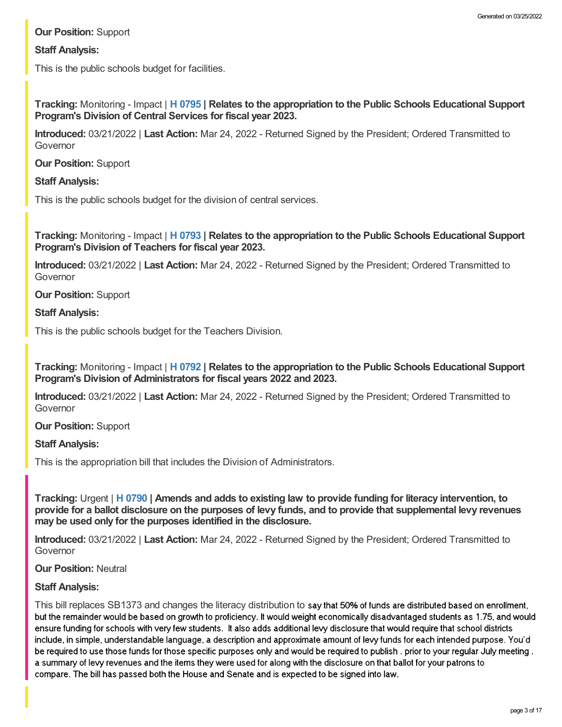# **Our Position:** Support

# **Staff Analysis:**

This is the public schools budget for facilities.

**Tracking:** Monitoring - Impact | **H [0795](https://legislature.idaho.gov/sessioninfo/2022/legislation/H0795/) | Relates to the appropriation to the Public Schools Educational Support Program's Division of Central Services for fiscal year 2023.**

**Introduced:** 03/21/2022 | **Last Action:** Mar 24, 2022 - Returned Signed by the President; Ordered Transmitted to Governor

**Our Position:** Support

## **Staff Analysis:**

This is the public schools budget for the division of central services.

**Tracking:** Monitoring - Impact | **H [0793](https://legislature.idaho.gov/sessioninfo/2022/legislation/H0793/) | Relates to the appropriation to the Public Schools Educational Support Program's Division of Teachers for fiscal year 2023.**

**Introduced:** 03/21/2022 | **Last Action:** Mar 24, 2022 - Returned Signed by the President; Ordered Transmitted to Governor

**Our Position:** Support

## **Staff Analysis:**

This is the public schools budget for the Teachers Division.

**Tracking:** Monitoring - Impact | **H [0792](https://legislature.idaho.gov/sessioninfo/2022/legislation/H0792/) | Relates to the appropriation to the Public Schools Educational Support Program's Division of Administrators for fiscal years 2022 and 2023.**

**Introduced:** 03/21/2022 | **Last Action:** Mar 24, 2022 - Returned Signed by the President; Ordered Transmitted to Governor

## **Our Position:** Support

# **Staff Analysis:**

This is the appropriation bill that includes the Division of Administrators.

Tracking: Urgent | H [0790](https://legislature.idaho.gov/sessioninfo/2022/legislation/H0790/) | Amends and adds to existing law to provide funding for literacy intervention, to provide for a ballot disclosure on the purposes of levy funds, and to provide that supplemental levy revenues **may be used only for the purposes identified in the disclosure.**

**Introduced:** 03/21/2022 | **Last Action:** Mar 24, 2022 - Returned Signed by the President; Ordered Transmitted to Governor

## **Our Position:** Neutral

# **Staff Analysis:**

This bill replaces SB1373 and changes the literacy distribution to say that 50% of funds are distributed based on enrollment, but the remainder would be based on growth to proficiency. It would weight economically disadvantaged students as 1.75, and would ensure funding for schools with very few students. It also adds additional levy disclosure that would require that school districts include, in simple, understandable language, a description and approximate amount of levy funds for each intended purpose. You'd be required to use those funds for those specific purposes only and would be required to publish, prior to your regular July meeting. a summary of levy revenues and the items they were used for along with the disclosure on that ballot for your patrons to compare. The bill has passed both the House and Senate and is expected to be signed into law.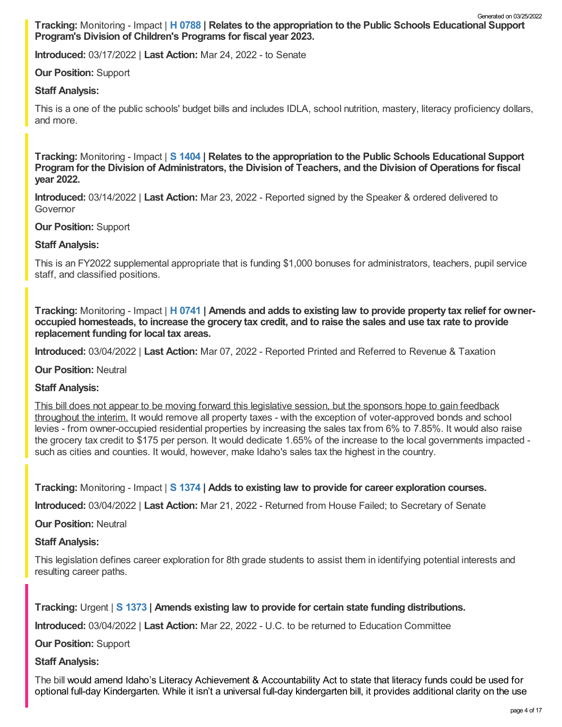**Tracking:** Monitoring - Impact | **H [0788](https://legislature.idaho.gov/sessioninfo/2022/legislation/H0788/) | Relates to the appropriation to the Public Schools Educational Support Program's Division of Children's Programs for fiscal year 2023.** Generated on 03/25/2022

**Introduced:** 03/17/2022 | **Last Action:** Mar 24, 2022 - to Senate

# **Our Position:** Support

## **Staff Analysis:**

This is a one of the public schools' budget bills and includes IDLA, school nutrition, mastery, literacy proficiency dollars, and more.

**Tracking:** Monitoring - Impact | **S [1404](https://legislature.idaho.gov/sessioninfo/2022/legislation/S1404/) | Relates to the appropriation to the Public Schools Educational Support** Program for the Division of Administrators, the Division of Teachers, and the Division of Operations for fiscal **year 2022.**

**Introduced:** 03/14/2022 | **Last Action:** Mar 23, 2022 - Reported signed by the Speaker & ordered delivered to Governor

## **Our Position:** Support

## **Staff Analysis:**

This is an FY2022 supplemental appropriate that is funding \$1,000 bonuses for administrators, teachers, pupil service staff, and classified positions.

Tracking: Monitoring - Impact | H [0741](https://legislature.idaho.gov/sessioninfo/2022/legislation/H0741/) | Amends and adds to existing law to provide property tax relief for owneroccupied homesteads, to increase the grocery tax credit, and to raise the sales and use tax rate to provide **replacement funding for local tax areas.**

**Introduced:** 03/04/2022 | **Last Action:** Mar 07, 2022 - Reported Printed and Referred to Revenue & Taxation

**Our Position:** Neutral

## **Staff Analysis:**

This bill does not appear to be moving forward this legislative session, but the sponsors hope to gain feedback throughout the interim. It would remove all property taxes - with the exception of voter-approved bonds and school levies - from owner-occupied residential properties by increasing the sales tax from 6% to 7.85%. It would also raise the grocery tax credit to \$175 per person. It would dedicate 1.65% of the increase to the local governments impacted such as cities and counties. It would, however, make Idaho's sales tax the highest in the country.

**Tracking:** Monitoring - Impact | **S [1374](https://legislature.idaho.gov/sessioninfo/2022/legislation/S1374/) | Adds to existing law to provide for career exploration courses.**

**Introduced:** 03/04/2022 | **Last Action:** Mar 21, 2022 - Returned from House Failed; to Secretary of Senate

## **Our Position:** Neutral

## **Staff Analysis:**

This legislation defines career exploration for 8th grade students to assist them in identifying potential interests and resulting career paths.

# **Tracking:** Urgent | **S [1373](https://legislature.idaho.gov/sessioninfo/2022/legislation/S1373/) | Amends existing law to provide for certain state funding distributions.**

**Introduced:** 03/04/2022 | **Last Action:** Mar 22, 2022 - U.C. to be returned to Education Committee

**Our Position:** Support

## **Staff Analysis:**

The bill would amend Idaho's Literacy Achievement & Accountability Act to state that literacy funds could be used for optional full-day Kindergarten. While it isn't a universal full-day kindergarten bill, it provides additional clarity on the use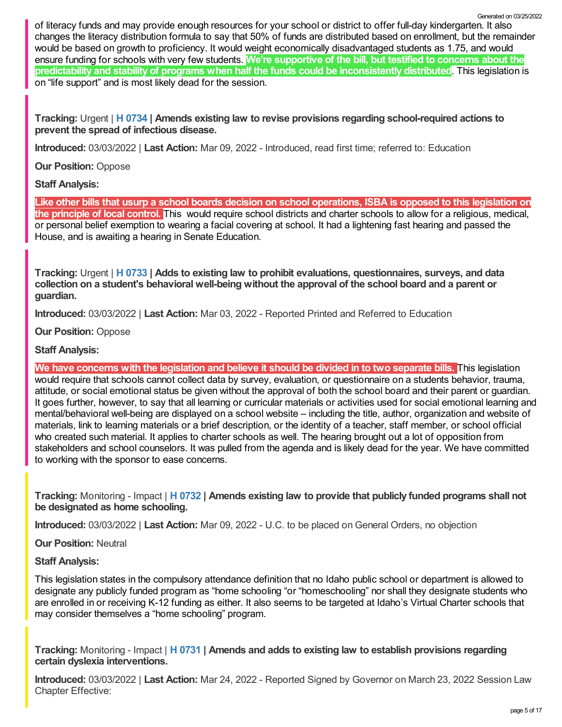of literacy funds and may provide enough resources for your school or district to offer full-day kindergarten. It also changes the literacy distribution formula to say that 50% of funds are distributed based on enrollment, but the remainder would be based on growth to proficiency. It would weight economically disadvantaged students as 1.75, and would ensure funding for schools with very few students. **We're supportive of the bill, but testified to concerns about the predictability and stability of programs when half the funds could be inconsistently distributed**. This legislation is on "life support" and is most likely dead for the session.

**Tracking:** Urgent | **H [0734](https://legislature.idaho.gov/sessioninfo/2022/legislation/H0734/) | Amends existing law to revise provisions regarding school-required actions to prevent the spread of infectious disease.**

**Introduced:** 03/03/2022 | **Last Action:** Mar 09, 2022 - Introduced, read first time; referred to: Education

**Our Position:** Oppose

**Staff Analysis:**

Like other bills that usurp a school boards decision on school operations, ISBA is opposed to this legislation on **the principle of local control.** This would require school districts and charter schools to allow for a religious, medical, or personal belief exemption to wearing a facial covering at school. It had a lightening fast hearing and passed the House, and is awaiting a hearing in Senate Education.

**Tracking:** Urgent | **H [0733](https://legislature.idaho.gov/sessioninfo/2022/legislation/H0733/) | Adds to existing law to prohibit evaluations, questionnaires, surveys, and data collection on a student's behavioral well-being without the approval of the school board and a parent or guardian.**

**Introduced:** 03/03/2022 | **Last Action:** Mar 03, 2022 - Reported Printed and Referred to Education

**Our Position:** Oppose

# **Staff Analysis:**

We have concerns with the legislation and believe it should be divided in to two separate bills. This legislation would require that schools cannot collect data by survey, evaluation, or questionnaire on a students behavior, trauma, attitude, or social emotional status be given without the approval of both the school board and their parent or guardian. It goes further, however, to say that all learning or curricular materials or activities used for social emotional learning and mental/behavioral well-being are displayed on a school website – including the title, author, organization and website of materials, link to learning materials or a brief description, or the identity of a teacher, staff member, or school official who created such material. It applies to charter schools as well. The hearing brought out a lot of opposition from stakeholders and school counselors. It was pulled from the agenda and is likely dead for the year. We have committed to working with the sponsor to ease concerns.

**Tracking:** Monitoring - Impact | **H [0732](https://legislature.idaho.gov/sessioninfo/2022/legislation/H0732/) | Amends existing law to provide that publicly funded programs shall not be designated as home schooling.**

**Introduced:** 03/03/2022 | **Last Action:** Mar 09, 2022 - U.C. to be placed on General Orders, no objection

**Our Position:** Neutral

**Staff Analysis:**

This legislation states in the compulsory attendance definition that no Idaho public school or department is allowed to designate any publicly funded program as "home schooling "or "homeschooling" nor shall they designate students who are enrolled in or receiving K-12 funding as either. It also seems to be targeted at Idaho's Virtual Charter schools that may consider themselves a "home schooling" program.

**Tracking:** Monitoring - Impact | **H [0731](https://legislature.idaho.gov/sessioninfo/2022/legislation/H0731/) | Amends and adds to existing law to establish provisions regarding certain dyslexia interventions.**

**Introduced:** 03/03/2022 | **Last Action:** Mar 24, 2022 - Reported Signed by Governor on March 23, 2022 Session Law Chapter Effective:

Generated on 03/25/2022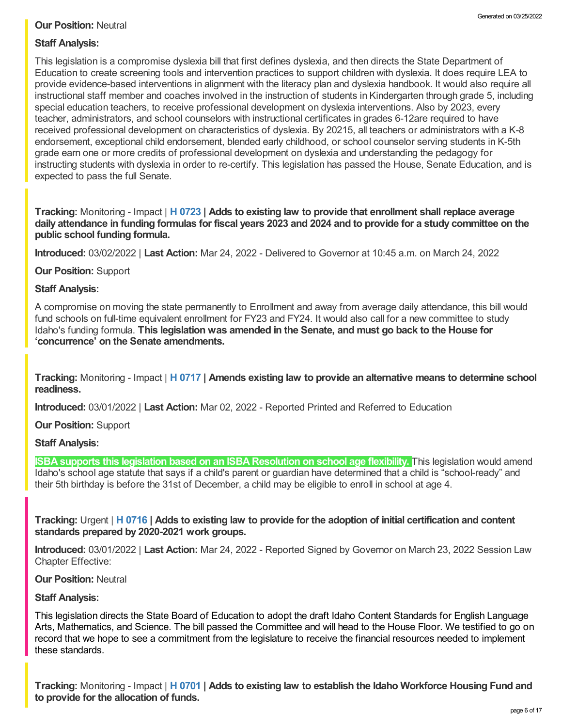# **Our Position:** Neutral

# **Staff Analysis:**

This legislation is a compromise dyslexia bill that first defines dyslexia, and then directs the State Department of Education to create screening tools and intervention practices to support children with dyslexia. It does require LEA to provide evidence-based interventions in alignment with the literacy plan and dyslexia handbook. It would also require all instructional staff member and coaches involved in the instruction of students in Kindergarten through grade 5, including special education teachers, to receive professional development on dyslexia interventions. Also by 2023, every teacher, administrators, and school counselors with instructional certificates in grades 6-12are required to have received professional development on characteristics of dyslexia. By 20215, all teachers or administrators with a K-8 endorsement, exceptional child endorsement, blended early childhood, or school counselor serving students in K-5th grade earn one or more credits of professional development on dyslexia and understanding the pedagogy for instructing students with dyslexia in order to re-certify. This legislation has passed the House, Senate Education, and is expected to pass the full Senate.

**Tracking:** Monitoring - Impact | **H [0723](https://legislature.idaho.gov/sessioninfo/2022/legislation/H0723/) | Adds to existing law to provide that enrollment shall replace average** daily attendance in funding formulas for fiscal years 2023 and 2024 and to provide for a study committee on the **public school funding formula.**

**Introduced:** 03/02/2022 | **Last Action:** Mar 24, 2022 - Delivered to Governor at 10:45 a.m. on March 24, 2022

**Our Position:** Support

## **Staff Analysis:**

A compromise on moving the state permanently to Enrollment and away from average daily attendance, this bill would fund schools on full-time equivalent enrollment for FY23 and FY24. It would also call for a new committee to study Idaho's funding formula. **This legislation was amended in the Senate, and must go back to the House for 'concurrence' on the Senate amendments.**

**Tracking:** Monitoring - Impact | **H [0717](https://legislature.idaho.gov/sessioninfo/2022/legislation/H0717/) | Amends existing law to provide an alternative means to determine school readiness.**

**Introduced:** 03/01/2022 | **Last Action:** Mar 02, 2022 - Reported Printed and Referred to Education

**Our Position:** Support

# **Staff Analysis:**

**ISBA supports this legislation based on an ISBA Resolution on school age flexibility.** This legislation would amend Idaho's school age statute that says if a child's parent or guardian have determined that a child is "school-ready" and their 5th birthday is before the 31st of December, a child may be eligible to enroll in school at age 4.

Tracking: Urgent | H [0716](https://legislature.idaho.gov/sessioninfo/2022/legislation/H0716/) | Adds to existing law to provide for the adoption of initial certification and content **standards prepared by 2020-2021 work groups.**

**Introduced:** 03/01/2022 | **Last Action:** Mar 24, 2022 - Reported Signed by Governor on March 23, 2022 Session Law Chapter Effective:

## **Our Position:** Neutral

# **Staff Analysis:**

This legislation directs the State Board of Education to adopt the draft Idaho Content Standards for English Language Arts, Mathematics, and Science. The bill passed the Committee and will head to the House Floor. We testified to go on record that we hope to see a commitment from the legislature to receive the financial resources needed to implement these standards.

**Tracking:** Monitoring - Impact | **H [0701](https://legislature.idaho.gov/sessioninfo/2022/legislation/H0701/) | Adds to existing law to establish the Idaho Workforce Housing Fund and to provide for the allocation of funds.**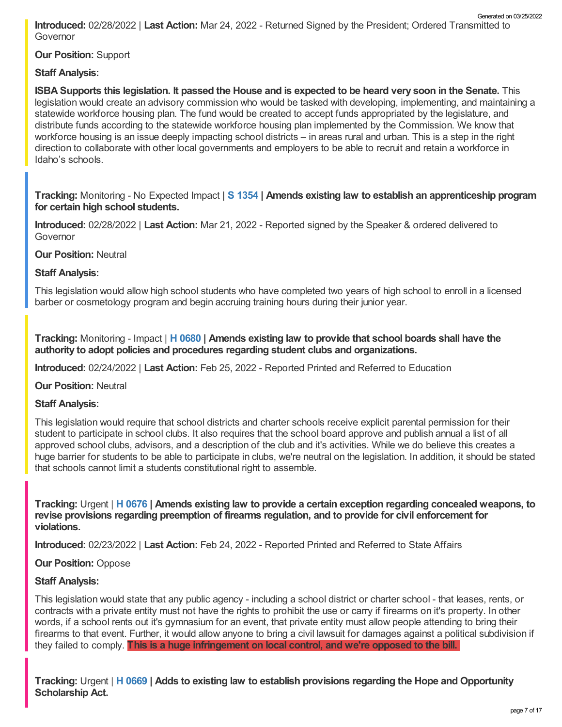**Introduced:** 02/28/2022 | **Last Action:** Mar 24, 2022 - Returned Signed by the President; Ordered Transmitted to Governor Generated on 03/25/2022

**Our Position:** Support

# **Staff Analysis:**

ISBA Supports this legislation. It passed the House and is expected to be heard very soon in the Senate. This legislation would create an advisory commission who would be tasked with developing, implementing, and maintaining a statewide workforce housing plan. The fund would be created to accept funds appropriated by the legislature, and distribute funds according to the statewide workforce housing plan implemented by the Commission. We know that workforce housing is an issue deeply impacting school districts – in areas rural and urban. This is a step in the right direction to collaborate with other local governments and employers to be able to recruit and retain a workforce in Idaho's schools.

**Tracking:** Monitoring - No Expected Impact | **S [1354](https://legislature.idaho.gov/sessioninfo/2022/legislation/S1354/) | Amends existing law to establish an apprenticeship program for certain high school students.**

**Introduced:** 02/28/2022 | **Last Action:** Mar 21, 2022 - Reported signed by the Speaker & ordered delivered to Governor

**Our Position:** Neutral

## **Staff Analysis:**

This legislation would allow high school students who have completed two years of high school to enroll in a licensed barber or cosmetology program and begin accruing training hours during their junior year.

**Tracking:** Monitoring - Impact | **H [0680](https://legislature.idaho.gov/sessioninfo/2022/legislation/H0680/) | Amends existing law to provide that school boards shall have the authority to adopt policies and procedures regarding student clubs and organizations.**

**Introduced:** 02/24/2022 | **Last Action:** Feb 25, 2022 - Reported Printed and Referred to Education

**Our Position:** Neutral

## **Staff Analysis:**

This legislation would require that school districts and charter schools receive explicit parental permission for their student to participate in school clubs. It also requires that the school board approve and publish annual a list of all approved school clubs, advisors, and a description of the club and it's activities. While we do believe this creates a huge barrier for students to be able to participate in clubs, we're neutral on the legislation. In addition, it should be stated that schools cannot limit a students constitutional right to assemble.

**Tracking:** Urgent | **H [0676](https://legislature.idaho.gov/sessioninfo/2022/legislation/H0676/) | Amends existing law to provide a certain exception regarding concealed weapons, to revise provisions regarding preemption of firearms regulation, and to provide for civil enforcement for violations.**

**Introduced:** 02/23/2022 | **Last Action:** Feb 24, 2022 - Reported Printed and Referred to State Affairs

# **Our Position:** Oppose

# **Staff Analysis:**

This legislation would state that any public agency - including a school district or charter school - that leases, rents, or contracts with a private entity must not have the rights to prohibit the use or carry if firearms on it's property. In other words, if a school rents out it's gymnasium for an event, that private entity must allow people attending to bring their firearms to that event. Further, it would allow anyone to bring a civil lawsuit for damages against a political subdivision if they failed to comply. **This is a huge infringement on local control, and we're opposed to the bill.**

**Tracking:** Urgent | **H [0669](https://legislature.idaho.gov/sessioninfo/2022/legislation/H0669/) | Adds to existing law to establish provisions regarding the Hope and Opportunity Scholarship Act.**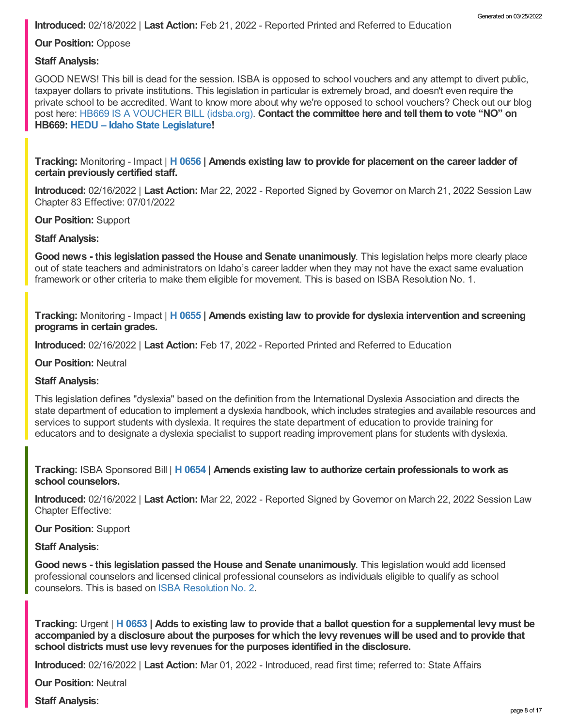**Our Position:** Oppose

## **Staff Analysis:**

GOOD NEWS! This bill is dead for the session. ISBA is opposed to school vouchers and any attempt to divert public, taxpayer dollars to private institutions. This legislation in particular is extremely broad, and doesn't even require the private school to be accredited. Want to know more about why we're opposed to school vouchers? Check out our blog post here: HB669 IS A [VOUCHER](https://www.idsba.org/blog/hb669-is-a-voucher-bill/) BILL (idsba.org). **Contact the committee here and tell them to vote "NO" on HB669: HEDU – Idaho State [Legislature](https://legislature.idaho.gov/sessioninfo/2022/standingcommittees/hedu/#hcode-tab-style2testimony-registration-remote-in-person)!**

**Tracking:** Monitoring - Impact | **H [0656](https://legislature.idaho.gov/sessioninfo/2022/legislation/H0656/) | Amends existing law to provide for placement on the career ladder of certain previously certified staff.**

**Introduced:** 02/16/2022 | **Last Action:** Mar 22, 2022 - Reported Signed by Governor on March 21, 2022 Session Law Chapter 83 Effective: 07/01/2022

#### **Our Position:** Support

#### **Staff Analysis:**

**Good news - this legislation passed the House and Senate unanimously**. This legislation helps more clearly place out of state teachers and administrators on Idaho's career ladder when they may not have the exact same evaluation framework or other criteria to make them eligible for movement. This is based on ISBA Resolution No. 1.

**Tracking:** Monitoring - Impact | **H [0655](https://legislature.idaho.gov/sessioninfo/2022/legislation/H0655/) | Amends existing law to provide for dyslexia intervention and screening programs in certain grades.**

**Introduced:** 02/16/2022 | **Last Action:** Feb 17, 2022 - Reported Printed and Referred to Education

#### **Our Position:** Neutral

## **Staff Analysis:**

This legislation defines "dyslexia" based on the definition from the International Dyslexia Association and directs the state department of education to implement a dyslexia handbook, which includes strategies and available resources and services to support students with dyslexia. It requires the state department of education to provide training for educators and to designate a dyslexia specialist to support reading improvement plans for students with dyslexia.

**Tracking:** ISBA Sponsored Bill | **H [0654](https://legislature.idaho.gov/sessioninfo/2022/legislation/H0654/) | Amends existing law to authorize certain professionals to work as school counselors.**

**Introduced:** 02/16/2022 | **Last Action:** Mar 22, 2022 - Reported Signed by Governor on March 22, 2022 Session Law Chapter Effective:

**Our Position:** Support

#### **Staff Analysis:**

**Good news - this legislation passed the House and Senate unanimously**. This legislation would add licensed professional counselors and licensed clinical professional counselors as individuals eligible to qualify as school counselors. This is based on ISBA [Resolution](https://www.idsba.org/wp-content/uploads/2021/12/02-Hiring-Flexibility-on-Licensed-Counselors.pdf) No. 2.

Tracking: Urgent | H [0653](https://legislature.idaho.gov/sessioninfo/2022/legislation/H0653/) | Adds to existing law to provide that a ballot question for a supplemental levy must be accompanied by a disclosure about the purposes for which the levy revenues will be used and to provide that **school districts must use levy revenues for the purposes identified in the disclosure.**

**Introduced:** 02/16/2022 | **Last Action:** Mar 01, 2022 - Introduced, read first time; referred to: State Affairs

**Our Position:** Neutral

**Staff Analysis:**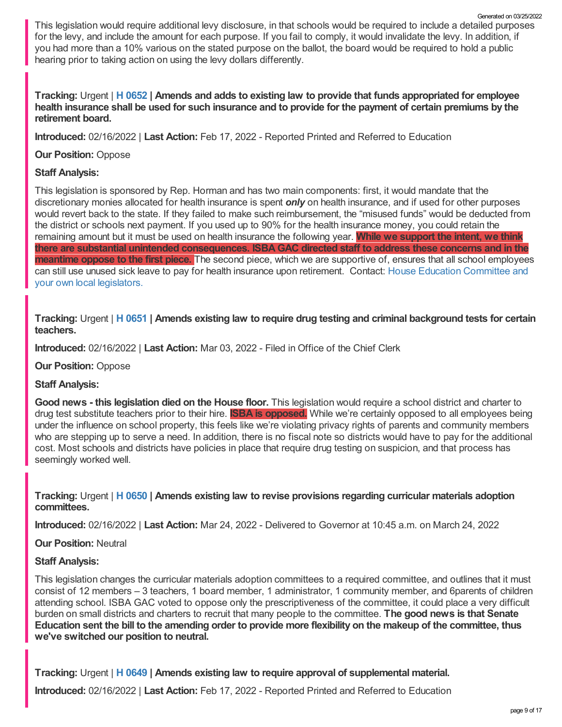This legislation would require additional levy disclosure, in that schools would be required to include a detailed purposes for the levy, and include the amount for each purpose. If you fail to comply, it would invalidate the levy. In addition, if you had more than a 10% various on the stated purpose on the ballot, the board would be required to hold a public hearing prior to taking action on using the levy dollars differently. Generated on 03/25/2022

# Tracking: Urgent | H [0652](https://legislature.idaho.gov/sessioninfo/2022/legislation/H0652/) | Amends and adds to existing law to provide that funds appropriated for employee health insurance shall be used for such insurance and to provide for the payment of certain premiums by the **retirement board.**

**Introduced:** 02/16/2022 | **Last Action:** Feb 17, 2022 - Reported Printed and Referred to Education

## **Our Position:** Oppose

# **Staff Analysis:**

This legislation is sponsored by Rep. Horman and has two main components: first, it would mandate that the discretionary monies allocated for health insurance is spent *only* on health insurance, and if used for other purposes would revert back to the state. If they failed to make such reimbursement, the "misused funds" would be deducted from the district or schools next payment. If you used up to 90% for the health insurance money, you could retain the remaining amount but it must be used on health insurance the following year. **While we support the intent, we think there are substantial unintended consequences. ISBAGAC directed staff to address these concerns and in the meantime oppose to the first piece.** The second piece, which we are supportive of, ensures that all school employees can still use unused sick leave to pay for health insurance upon retirement. Contact: House Education [Committee](https://legislature.idaho.gov/sessioninfo/2022/standingcommittees/HEDU/) and your own local legislators.

Tracking: Urgent | H [0651](https://legislature.idaho.gov/sessioninfo/2022/legislation/H0651/) | Amends existing law to require drug testing and criminal background tests for certain **teachers.**

**Introduced:** 02/16/2022 | **Last Action:** Mar 03, 2022 - Filed in Office of the Chief Clerk

**Our Position:** Oppose

## **Staff Analysis:**

**Good news - this legislation died on the House floor.** This legislation would require a school district and charter to drug test substitute teachers prior to their hire. **ISBA is opposed.** While we're certainly opposed to all employees being under the influence on school property, this feels like we're violating privacy rights of parents and community members who are stepping up to serve a need. In addition, there is no fiscal note so districts would have to pay for the additional cost. Most schools and districts have policies in place that require drug testing on suspicion, and that process has seemingly worked well.

## **Tracking:** Urgent | **H [0650](https://legislature.idaho.gov/sessioninfo/2022/legislation/H0650/) | Amends existing law to revise provisions regarding curricular materials adoption committees.**

**Introduced:** 02/16/2022 | **Last Action:** Mar 24, 2022 - Delivered to Governor at 10:45 a.m. on March 24, 2022

**Our Position:** Neutral

# **Staff Analysis:**

This legislation changes the curricular materials adoption committees to a required committee, and outlines that it must consist of 12 members – 3 teachers, 1 board member, 1 administrator, 1 community member, and 6parents of children attending school. ISBA GAC voted to oppose only the prescriptiveness of the committee, it could place a very difficult burden on small districts and charters to recruit that many people to the committee. **The good news is that Senate** Education sent the bill to the amending order to provide more flexibility on the makeup of the committee, thus **we've switched our position to neutral.**

**Tracking:** Urgent | **H [0649](https://legislature.idaho.gov/sessioninfo/2022/legislation/H0649/) | Amends existing law to require approval of supplemental material.**

**Introduced:** 02/16/2022 | **Last Action:** Feb 17, 2022 - Reported Printed and Referred to Education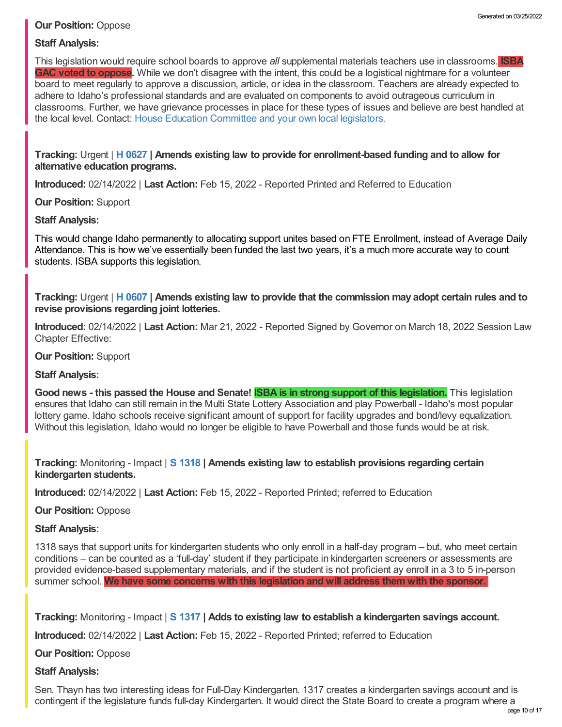# **Our Position:** Oppose

# **Staff Analysis:**

This legislation would require school boards to approve *all* supplemental materials teachers use in classrooms. **ISBA GAC voted to oppose.** While we don't disagree with the intent, this could be a logistical nightmare for a volunteer board to meet regularly to approve a discussion, article, or idea in the classroom. Teachers are already expected to adhere to Idaho's professional standards and are evaluated on components to avoid outrageous curriculum in classrooms. Further, we have grievance processes in place for these types of issues and believe are best handled at the local level. Contact: House Education [Committee](https://legislature.idaho.gov/sessioninfo/2022/standingcommittees/HEDU/) and your own local legislators.

**Tracking:** Urgent | **H [0627](https://legislature.idaho.gov/sessioninfo/2022/legislation/H0627/) | Amends existing law to provide for enrollment-based funding and to allow for alternative education programs.**

**Introduced:** 02/14/2022 | **Last Action:** Feb 15, 2022 - Reported Printed and Referred to Education

## **Our Position:** Support

## **Staff Analysis:**

This would change Idaho permanently to allocating support unites based on FTE Enrollment, instead of Average Daily Attendance. This is how we've essentially been funded the last two years, it's a much more accurate way to count students. ISBA supports this legislation.

Tracking: Urgent | H [0607](https://legislature.idaho.gov/sessioninfo/2022/legislation/H0607/) | Amends existing law to provide that the commission may adopt certain rules and to **revise provisions regarding joint lotteries.**

**Introduced:** 02/14/2022 | **Last Action:** Mar 21, 2022 - Reported Signed by Governor on March 18, 2022 Session Law Chapter Effective:

**Our Position:** Support

# **Staff Analysis:**

Good news - this passed the House and Senate! SBA is in strong support of this legislation. This legislation ensures that Idaho can still remain in the Multi State Lottery Association and play Powerball - Idaho's most popular lottery game. Idaho schools receive significant amount of support for facility upgrades and bond/levy equalization. Without this legislation, Idaho would no longer be eligible to have Powerball and those funds would be at risk.

**Tracking:** Monitoring - Impact | **S [1318](https://legislature.idaho.gov/sessioninfo/2022/legislation/S1318/) | Amends existing law to establish provisions regarding certain kindergarten students.**

**Introduced:** 02/14/2022 | **Last Action:** Feb 15, 2022 - Reported Printed; referred to Education

**Our Position:** Oppose

# **Staff Analysis:**

1318 says that support units for kindergarten students who only enroll in a half-day program – but, who meet certain conditions – can be counted as a 'full-day' student if they participate in kindergarten screeners or assessments are provided evidence-based supplementary materials, and if the student is not proficient ay enroll in a 3 to 5 in-person summer school. **We have some concerns with this legislation and will address them with the sponsor.**

**Tracking:** Monitoring - Impact | **S [1317](https://legislature.idaho.gov/sessioninfo/2022/legislation/S1317/) | Adds to existing law to establish a kindergarten savings account.**

**Introduced:** 02/14/2022 | **Last Action:** Feb 15, 2022 - Reported Printed; referred to Education

**Our Position:** Oppose

## **Staff Analysis:**

Sen. Thayn has two interesting ideas for Full-Day Kindergarten. 1317 creates a kindergarten savings account and is contingent if the legislature funds full-day Kindergarten. It would direct the State Board to create a program where a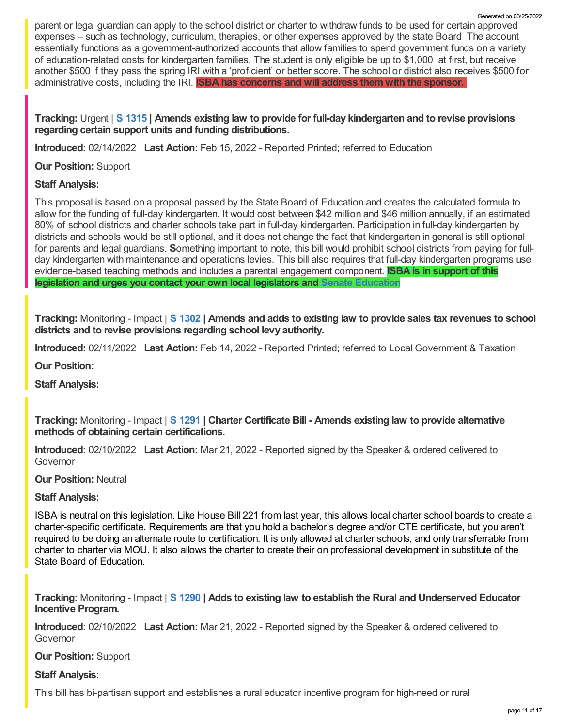parent or legal guardian can apply to the school district or charter to withdraw funds to be used for certain approved expenses – such as technology, curriculum, therapies, or other expenses approved by the state Board The account essentially functions as a government-authorized accounts that allow families to spend government funds on a variety of education-related costs for kindergarten families. The student is only eligible be up to \$1,000 at first, but receive another \$500 if they pass the spring IRI with a 'proficient' or better score. The school or district also receives \$500 for administrative costs, including the IRI. **ISBA has concerns and will address them with the sponsor.**

## **Tracking:** Urgent | **S [1315](https://legislature.idaho.gov/sessioninfo/2022/legislation/S1315/) | Amends existing law to provide for full-day kindergarten and to revise provisions regarding certain support units and funding distributions.**

**Introduced:** 02/14/2022 | **Last Action:** Feb 15, 2022 - Reported Printed; referred to Education

## **Our Position:** Support

## **Staff Analysis:**

This proposal is based on a proposal passed by the State Board of Education and creates the calculated formula to allow for the funding of full-day kindergarten. It would cost between \$42 million and \$46 million annually, if an estimated 80% of school districts and charter schools take part in full-day kindergarten. Participation in full-day kindergarten by districts and schools would be still optional, and it does not change the fact that kindergarten in general is still optional for parents and legal guardians. **S**omething important to note, this bill would prohibit school districts from paying for fullday kindergarten with maintenance and operations levies. This bill also requires that full-day kindergarten programs use evidence-based teaching methods and includes a parental engagement component. **ISBA is in support of this legislation and urges you contact your own local legislators and Senate [Education](https://legislature.idaho.gov/sessioninfo/2022/standingcommittees/SEDU/)**

Tracking: Monitoring - Impact | S [1302](https://legislature.idaho.gov/sessioninfo/2022/legislation/S1302/) | Amends and adds to existing law to provide sales tax revenues to school **districts and to revise provisions regarding school levy authority.**

**Introduced:** 02/11/2022 | **Last Action:** Feb 14, 2022 - Reported Printed; referred to Local Government & Taxation

**Our Position:**

**Staff Analysis:**

**Tracking:** Monitoring - Impact | **S [1291](https://legislature.idaho.gov/sessioninfo/2022/legislation/S1291/) | Charter Certificate Bill - Amends existing law to provide alternative methods of obtaining certain certifications.**

**Introduced:** 02/10/2022 | **Last Action:** Mar 21, 2022 - Reported signed by the Speaker & ordered delivered to Governor

**Our Position:** Neutral

# **Staff Analysis:**

ISBA is neutral on this legislation. Like House Bill 221 from last year, this allows local charter school boards to create a charter-specific certificate. Requirements are that you hold a bachelor's degree and/or CTE certificate, but you aren't required to be doing an alternate route to certification. It is only allowed at charter schools, and only transferrable from charter to charter via MOU. It also allows the charter to create their on professional development in substitute of the State Board of Education.

**Tracking:** Monitoring - Impact | **S [1290](https://legislature.idaho.gov/sessioninfo/2022/legislation/S1290/) | Adds to existing law to establish the Rural and Underserved Educator Incentive Program.**

**Introduced:** 02/10/2022 | **Last Action:** Mar 21, 2022 - Reported signed by the Speaker & ordered delivered to Governor

## **Our Position:** Support

## **Staff Analysis:**

This bill has bi-partisan support and establishes a rural educator incentive program for high-need or rural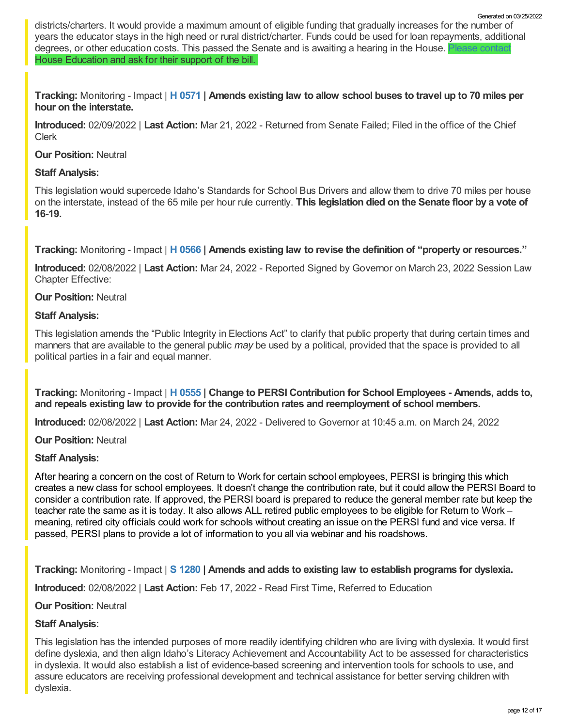districts/charters. It would provide a maximum amount of eligible funding that gradually increases for the number of years the educator stays in the high need or rural district/charter. Funds could be used for loan repayments, additional degrees, or other education costs. This passed the Senate and is awaiting a hearing in the House. House Education and ask for their support of the bill.

Tracking: Monitoring - Impact | H [0571](https://legislature.idaho.gov/sessioninfo/2022/legislation/H0571/) | Amends existing law to allow school buses to travel up to 70 miles per **hour on the interstate.**

**Introduced:** 02/09/2022 | **Last Action:** Mar 21, 2022 - Returned from Senate Failed; Filed in the office of the Chief Clerk

## **Our Position:** Neutral

## **Staff Analysis:**

This legislation would supercede Idaho's Standards for School Bus Drivers and allow them to drive 70 miles per house on the interstate, instead of the 65 mile per hour rule currently. **This legislation died on the Senate floor by a vote of 16-19.**

**Tracking:** Monitoring - Impact | **H [0566](https://legislature.idaho.gov/sessioninfo/2022/legislation/H0566/) | Amends existing law to revise the definition of "property or resources."**

**Introduced:** 02/08/2022 | **Last Action:** Mar 24, 2022 - Reported Signed by Governor on March 23, 2022 Session Law Chapter Effective:

## **Our Position:** Neutral

## **Staff Analysis:**

This legislation amends the "Public Integrity in Elections Act" to clarify that public property that during certain times and manners that are available to the general public *may* be used by a political, provided that the space is provided to all political parties in a fair and equal manner.

**Tracking:** Monitoring - Impact | **H [0555](https://legislature.idaho.gov/sessioninfo/2022/legislation/H0555/) | Change to PERSI Contribution for School Employees - Amends, adds to, and repeals existing law to provide for the contribution rates and reemployment of school members.**

**Introduced:** 02/08/2022 | **Last Action:** Mar 24, 2022 - Delivered to Governor at 10:45 a.m. on March 24, 2022

**Our Position:** Neutral

## **Staff Analysis:**

After hearing a concern on the cost of Return to Work for certain school employees, PERSI is bringing this which creates a new class for school employees. It doesn't change the contribution rate, but it could allow the PERSI Board to consider a contribution rate. If approved, the PERSI board is prepared to reduce the general member rate but keep the teacher rate the same as it is today. It also allows ALL retired public employees to be eligible for Return to Work – meaning, retired city officials could work for schools without creating an issue on the PERSI fund and vice versa. If passed, PERSI plans to provide a lot of information to you all via webinar and his roadshows.

**Tracking:** Monitoring - Impact | **S [1280](https://legislature.idaho.gov/sessioninfo/2022/legislation/S1280/) | Amends and adds to existing law to establish programs for dyslexia.**

**Introduced:** 02/08/2022 | **Last Action:** Feb 17, 2022 - Read First Time, Referred to Education

## **Our Position:** Neutral

# **Staff Analysis:**

This legislation has the intended purposes of more readily identifying children who are living with dyslexia. It would first define dyslexia, and then align Idaho's Literacy Achievement and Accountability Act to be assessed for characteristics in dyslexia. It would also establish a list of evidence-based screening and intervention tools for schools to use, and assure educators are receiving professional development and technical assistance for better serving children with dyslexia.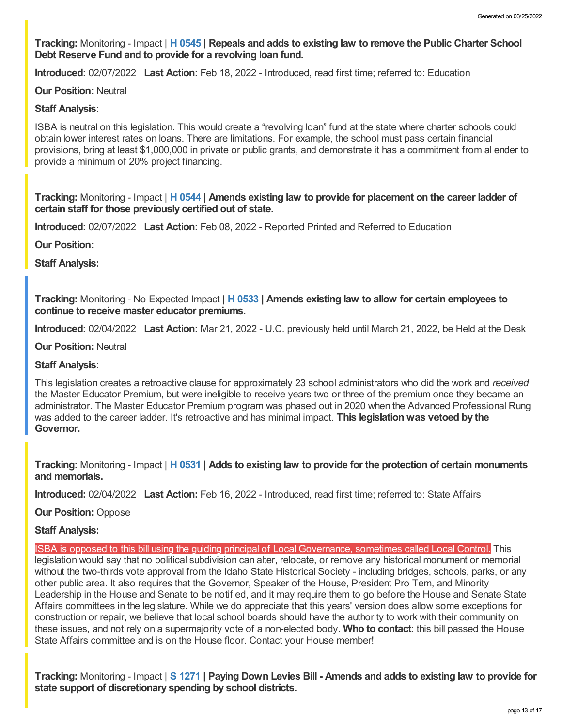**Tracking:** Monitoring - Impact | **H [0545](https://legislature.idaho.gov/sessioninfo/2022/legislation/H0545/) | Repeals and adds to existing law to remove the Public Charter School Debt Reserve Fund and to provide for a revolving loan fund.**

**Introduced:** 02/07/2022 | **Last Action:** Feb 18, 2022 - Introduced, read first time; referred to: Education

#### **Our Position:** Neutral

#### **Staff Analysis:**

ISBA is neutral on this legislation. This would create a "revolving loan" fund at the state where charter schools could obtain lower interest rates on loans. There are limitations. For example, the school must pass certain financial provisions, bring at least \$1,000,000 in private or public grants, and demonstrate it has a commitment from al ender to provide a minimum of 20% project financing.

**Tracking:** Monitoring - Impact | **H [0544](https://legislature.idaho.gov/sessioninfo/2022/legislation/H0544/) | Amends existing law to provide for placement on the career ladder of certain staff for those previously certified out of state.**

**Introduced:** 02/07/2022 | **Last Action:** Feb 08, 2022 - Reported Printed and Referred to Education

**Our Position:**

**Staff Analysis:**

**Tracking:** Monitoring - No Expected Impact | **H [0533](https://legislature.idaho.gov/sessioninfo/2022/legislation/H0533/) | Amends existing law to allow for certain employees to continue to receive master educator premiums.**

**Introduced:** 02/04/2022 | **Last Action:** Mar 21, 2022 - U.C. previously held until March 21, 2022, be Held at the Desk

**Our Position:** Neutral

#### **Staff Analysis:**

This legislation creates a retroactive clause for approximately 23 school administrators who did the work and *received* the Master Educator Premium, but were ineligible to receive years two or three of the premium once they became an administrator. The Master Educator Premium program was phased out in 2020 when the Advanced Professional Rung was added to the career ladder. It's retroactive and has minimal impact. **This legislation was vetoed by the Governor.**

**Tracking:** Monitoring - Impact | **H [0531](https://legislature.idaho.gov/sessioninfo/2022/legislation/H0531/) | Adds to existing law to provide for the protection of certain monuments and memorials.**

**Introduced:** 02/04/2022 | **Last Action:** Feb 16, 2022 - Introduced, read first time; referred to: State Affairs

**Our Position:** Oppose

#### **Staff Analysis:**

ISBA is opposed to this bill using the guiding principal of Local Governance, sometimes called Local Control. This legislation would say that no political subdivision can alter, relocate, or remove any historical monument or memorial without the two-thirds vote approval from the Idaho State Historical Society - including bridges, schools, parks, or any other public area. It also requires that the Governor, Speaker of the House, President Pro Tem, and Minority Leadership in the House and Senate to be notified, and it may require them to go before the House and Senate State Affairs committees in the legislature. While we do appreciate that this years' version does allow some exceptions for construction or repair, we believe that local school boards should have the authority to work with their community on these issues, and not rely on a supermajority vote of a non-elected body. **Who to contact**: this bill passed the House State Affairs committee and is on the House floor. Contact your House member!

Tracking: Monitoring - Impact | S [1271](https://legislature.idaho.gov/sessioninfo/2022/legislation/S1271/) | Paying Down Levies Bill - Amends and adds to existing law to provide for **state support of discretionary spending by school districts.**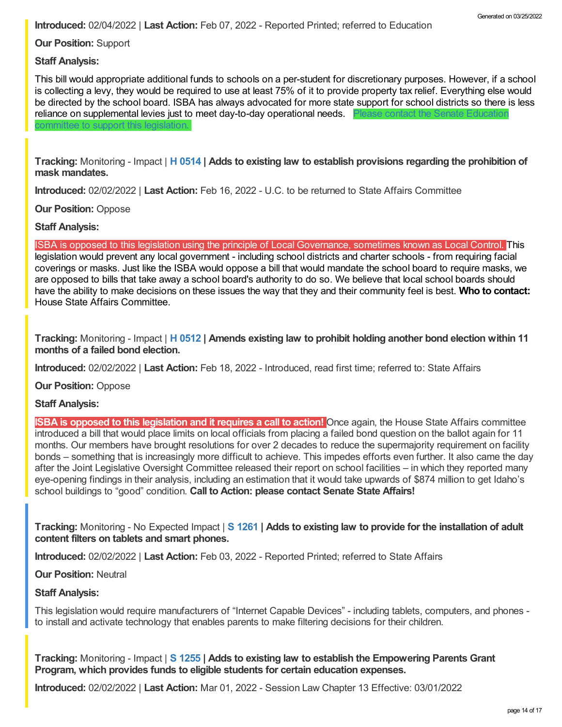**Introduced:** 02/04/2022 | **Last Action:** Feb 07, 2022 - Reported Printed; referred to Education

**Our Position:** Support

mittee to support this legislation.

**Staff Analysis:**

This bill would appropriate additional funds to schools on a per-student for discretionary purposes. However, if a school is collecting a levy, they would be required to use at least 75% of it to provide property tax relief. Everything else would be directed by the school board. ISBA has always advocated for more state support for school districts so there is less reliance on [supplemental](https://legislature.idaho.gov/sessioninfo/2022/standingcommittees/SEDU/) levies just to meet day-to-day operational needs. Please contact the Senate Education

**Tracking:** Monitoring - Impact | **H [0514](https://legislature.idaho.gov/sessioninfo/2022/legislation/H0514/) | Adds to existing law to establish provisions regarding the prohibition of mask mandates.**

**Introduced:** 02/02/2022 | **Last Action:** Feb 16, 2022 - U.C. to be returned to State Affairs Committee

**Our Position:** Oppose

**Staff Analysis:**

ISBA is opposed to this legislation using the principle of Local Governance, sometimes known as Local Control. This legislation would prevent any local government - including school districts and charter schools - from requiring facial coverings or masks. Just like the ISBA would oppose a bill that would mandate the school board to require masks, we are opposed to bills that take away a school board's authority to do so. We believe that local school boards should have the ability to make decisions on these issues the way that they and their community feel is best. **Who to contact:** House State Affairs [Committee.](https://legislature.idaho.gov/sessioninfo/2022/standingcommittees/HSTA/)

**Tracking:** Monitoring - Impact | **H [0512](https://legislature.idaho.gov/sessioninfo/2022/legislation/H0512/) | Amends existing law to prohibit holding another bond election within 11 months of a failed bond election.**

**Introduced:** 02/02/2022 | **Last Action:** Feb 18, 2022 - Introduced, read first time; referred to: State Affairs

**Our Position:** Oppose

**Staff Analysis:**

**ISBA is opposed to this legislation and it requires a call to action!** Once again, the House State Affairs committee introduced a bill that would place limits on local officials from placing a failed bond question on the ballot again for 11 months. Our members have brought resolutions for over 2 decades to reduce the supermajority requirement on facility bonds – something that is increasingly more difficult to achieve. This impedes efforts even further. It also came the day after the Joint Legislative Oversight Committee released their report on school facilities – in which they reported many eye-opening findings in their analysis, including an estimation that it would take upwards of \$874 million to get Idaho's school buildings to "good" condition. **Call to Action: please contact Senate State Affairs!**

**Tracking:** Monitoring - No Expected Impact | **S [1261](https://legislature.idaho.gov/sessioninfo/2022/legislation/S1261/) | Adds to existing law to provide for the installation of adult content filters on tablets and smart phones.**

**Introduced:** 02/02/2022 | **Last Action:** Feb 03, 2022 - Reported Printed; referred to State Affairs

**Our Position:** Neutral

**Staff Analysis:**

This legislation would require manufacturers of "Internet Capable Devices" - including tablets, computers, and phones to install and activate technology that enables parents to make filtering decisions for their children.

**Tracking:** Monitoring - Impact | **S [1255](https://legislature.idaho.gov/sessioninfo/2022/legislation/S1255/) | Adds to existing law to establish the Empowering Parents Grant Program, which provides funds to eligible students for certain education expenses.**

**Introduced:** 02/02/2022 | **Last Action:** Mar 01, 2022 - Session Law Chapter 13 Effective: 03/01/2022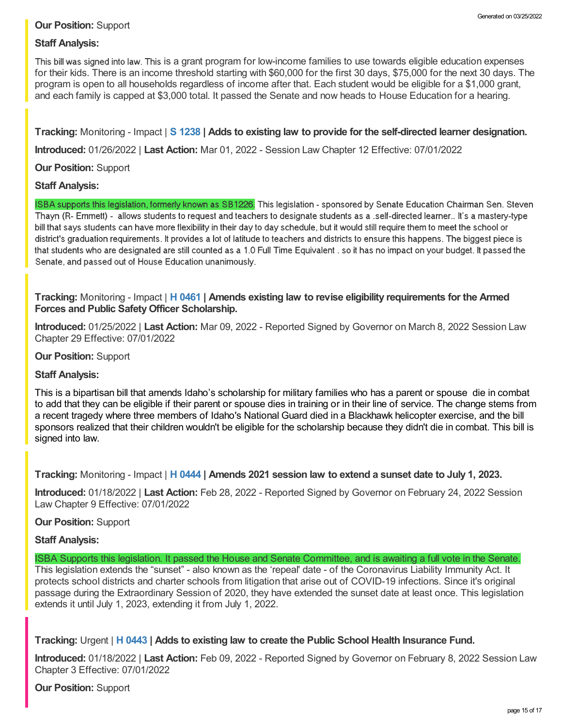# **Our Position:** Support

# **Staff Analysis:**

This bill was signed into law. This is a grant program for low-income families to use towards eligible education expenses for their kids. There is an income threshold starting with \$60,000 for the first 30 days, \$75,000 for the next 30 days. The program is open to all households regardless of income after that. Each student would be eligible for a \$1,000 grant, and each family is capped at \$3,000 total. It passed the Senate and now heads to House Education for a hearing.

**Tracking:** Monitoring - Impact | **S [1238](https://legislature.idaho.gov/sessioninfo/2022/legislation/S1238/) | Adds to existing law to provide for the self-directed learner designation.**

**Introduced:** 01/26/2022 | **Last Action:** Mar 01, 2022 - Session Law Chapter 12 Effective: 07/01/2022

## **Our Position:** Support

## **Staff Analysis:**

ISBA supports this legislation, formerly known as SB1226. This legislation - sponsored by Senate Education Chairman Sen. Steven Thayn (R- Emmett) - allows students to request and teachers to designate students as a .self-directed learner.. It's a mastery-type bill that says students can have more flexibility in their day to day schedule, but it would still require them to meet the school or district's graduation requirements. It provides a lot of latitude to teachers and districts to ensure this happens. The biggest piece is that students who are designated are still counted as a 1.0 Full Time Equivalent , so it has no impact on your budget. It passed the Senate, and passed out of House Education unanimously.

## **Tracking:** Monitoring - Impact | **H [0461](https://legislature.idaho.gov/sessioninfo/2022/legislation/H0461/) | Amends existing law to revise eligibility requirements for the Armed Forces and Public SafetyOfficer Scholarship.**

**Introduced:** 01/25/2022 | **Last Action:** Mar 09, 2022 - Reported Signed by Governor on March 8, 2022 Session Law Chapter 29 Effective: 07/01/2022

## **Our Position:** Support

## **Staff Analysis:**

This is a bipartisan bill that amends Idaho's scholarship for military families who has a parent or spouse die in combat to add that they can be eligible if their parent or spouse dies in training or in their line of service. The change stems from a recent tragedy where three members of Idaho's National Guard died in a Blackhawk helicopter exercise, and the bill sponsors realized that their children wouldn't be eligible for the scholarship because they didn't die in combat. This bill is signed into law.

**Tracking:** Monitoring - Impact | **H [0444](https://legislature.idaho.gov/sessioninfo/2022/legislation/H0444/) | Amends 2021 session law to extend a sunset date to July 1, 2023.**

**Introduced:** 01/18/2022 | **Last Action:** Feb 28, 2022 - Reported Signed by Governor on February 24, 2022 Session Law Chapter 9 Effective: 07/01/2022

## **Our Position:** Support

## **Staff Analysis:**

ISBA Supports this legislation. It passed the House and Senate Committee, and is awaiting a full vote in the Senate. This legislation extends the "sunset" - also known as the 'repeal' date - of the Coronavirus Liability Immunity Act. It protects school districts and charter schools from litigation that arise out of COVID-19 infections. Since it's original passage during the Extraordinary Session of 2020, they have extended the sunset date at least once. This legislation extends it until July 1, 2023, extending it from July 1, 2022.

## **Tracking:** Urgent | **H [0443](https://legislature.idaho.gov/sessioninfo/2022/legislation/H0443/) | Adds to existing law to create the Public School Health Insurance Fund.**

**Introduced:** 01/18/2022 | **Last Action:** Feb 09, 2022 - Reported Signed by Governor on February 8, 2022 Session Law Chapter 3 Effective: 07/01/2022

#### **Our Position:** Support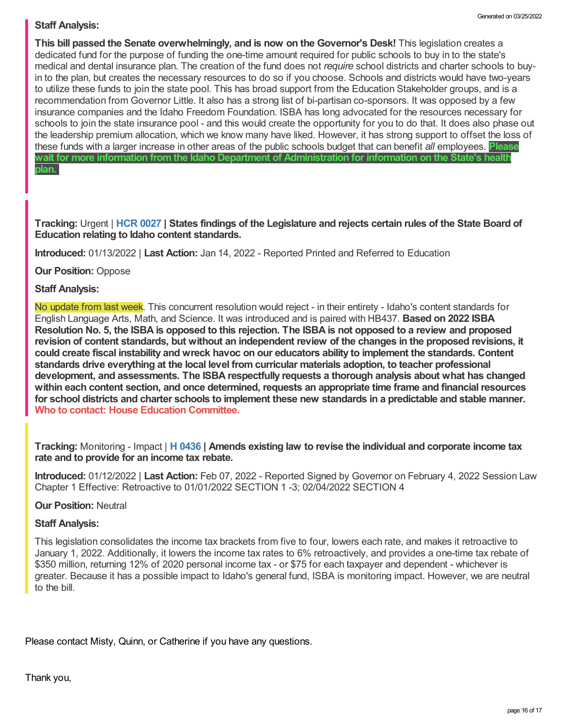# **Staff Analysis:**

**This bill passed the Senate overwhelmingly, and is now on the Governor's Desk!** This legislation creates a dedicated fund for the purpose of funding the one-time amount required for public schools to buy in to the state's medical and dental insurance plan. The creation of the fund does not *require* school districts and charter schools to buyin to the plan, but creates the necessary resources to do so if you choose. Schools and districts would have two-years to utilize these funds to join the state pool. This has broad support from the Education Stakeholder groups, and is a recommendation from Governor Little. It also has a strong list of bi-partisan co-sponsors. It was opposed by a few insurance companies and the Idaho Freedom Foundation. ISBA has long advocated for the resources necessary for schools to join the state insurance pool - and this would create the opportunity for you to do that. It does also phase out the leadership premium allocation, which we know many have liked. However, it has strong support to offset the loss of these funds with a larger increase in other areas of the public schools budget that can benefit *all* employees. **Please wait for more information from the Idaho Department of Administration for information on the State's health plan.**

Tracking: Urgent | HCR [0027](https://legislature.idaho.gov/sessioninfo/2022/legislation/HCR027/) | States findings of the Legislature and rejects certain rules of the State Board of **Education relating to Idaho content standards.**

**Introduced:** 01/13/2022 | **Last Action:** Jan 14, 2022 - Reported Printed and Referred to Education

**Our Position:** Oppose

## **Staff Analysis:**

No update from last week. This concurrent resolution would reject - in their entirety - Idaho's content standards for English Language Arts, Math, and Science. It was introduced and is paired with HB437. **Based on 2022 ISBA** Resolution No. 5, the ISBA is opposed to this rejection. The ISBA is not opposed to a review and proposed revision of content standards, but without an independent review of the changes in the proposed revisions, it **could create fiscal instability and wreck havoc on our educators ability to implement the standards. Content standards drive everything at the local level from curricular materials adoption, to teacher professional development, and assessments. The ISBA respectfully requests a thorough analysis about what has changed within each content section, and once determined, requests an appropriate time frame and financial resources** for school districts and charter schools to implement these new standards in a predictable and stable manner.<br>Who to contact: House Education [Committee](https://legislature.idaho.gov/sessioninfo/2022/standingcommittees/HEDU/).

**Tracking:** Monitoring - Impact | **H [0436](https://legislature.idaho.gov/sessioninfo/2022/legislation/H0436/) | Amends existing law to revise the individual and corporate income tax rate and to provide for an income tax rebate.**

**Introduced:** 01/12/2022 | **Last Action:** Feb 07, 2022 - Reported Signed by Governor on February 4, 2022 Session Law Chapter 1 Effective: Retroactive to 01/01/2022 SECTION 1 -3; 02/04/2022 SECTION 4

## **Our Position:** Neutral

#### **Staff Analysis:**

This legislation consolidates the income tax brackets from five to four, lowers each rate, and makes it retroactive to January 1, 2022. Additionally, it lowers the income tax rates to 6% retroactively, and provides a one-time tax rebate of \$350 million, returning 12% of 2020 personal income tax - or \$75 for each taxpayer and dependent - whichever is greater. Because it has a possible impact to Idaho's general fund, ISBA is monitoring impact. However, we are neutral to the bill.

Please contact Misty, Quinn, or Catherine if you have any questions.